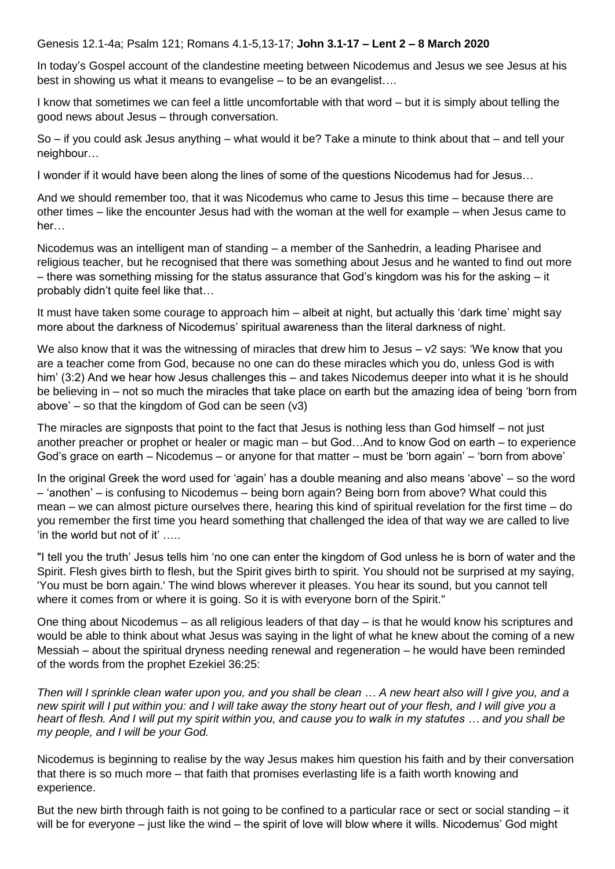Genesis 12.1-4a; Psalm 121; Romans 4.1-5,13-17; **John 3.1-17 – Lent 2 – 8 March 2020**

In today's Gospel account of the clandestine meeting between Nicodemus and Jesus we see Jesus at his best in showing us what it means to evangelise – to be an evangelist….

I know that sometimes we can feel a little uncomfortable with that word – but it is simply about telling the good news about Jesus – through conversation.

So – if you could ask Jesus anything – what would it be? Take a minute to think about that – and tell your neighbour…

I wonder if it would have been along the lines of some of the questions Nicodemus had for Jesus…

And we should remember too, that it was Nicodemus who came to Jesus this time – because there are other times – like the encounter Jesus had with the woman at the well for example – when Jesus came to her…

Nicodemus was an intelligent man of standing – a member of the Sanhedrin, a leading Pharisee and religious teacher, but he recognised that there was something about Jesus and he wanted to find out more – there was something missing for the status assurance that God's kingdom was his for the asking – it probably didn't quite feel like that…

It must have taken some courage to approach him – albeit at night, but actually this 'dark time' might say more about the darkness of Nicodemus' spiritual awareness than the literal darkness of night.

We also know that it was the witnessing of miracles that drew him to Jesus – v2 says: 'We know that you are a teacher come from God, because no one can do these miracles which you do, unless God is with him' (3:2) And we hear how Jesus challenges this – and takes Nicodemus deeper into what it is he should be believing in – not so much the miracles that take place on earth but the amazing idea of being 'born from above' – so that the kingdom of God can be seen (v3)

The miracles are signposts that point to the fact that Jesus is nothing less than God himself – not just another preacher or prophet or healer or magic man – but God…And to know God on earth – to experience God's grace on earth – Nicodemus – or anyone for that matter – must be 'born again' – 'born from above'

In the original Greek the word used for 'again' has a double meaning and also means 'above' – so the word – 'anothen' – is confusing to Nicodemus – being born again? Being born from above? What could this mean – we can almost picture ourselves there, hearing this kind of spiritual revelation for the first time – do you remember the first time you heard something that challenged the idea of that way we are called to live 'in the world but not of it' …..

"I tell you the truth' Jesus tells him 'no one can enter the kingdom of God unless he is born of water and the Spirit. Flesh gives birth to flesh, but the Spirit gives birth to spirit. You should not be surprised at my saying, 'You must be born again.' The wind blows wherever it pleases. You hear its sound, but you cannot tell where it comes from or where it is going. So it is with everyone born of the Spirit."

One thing about Nicodemus – as all religious leaders of that day – is that he would know his scriptures and would be able to think about what Jesus was saying in the light of what he knew about the coming of a new Messiah – about the spiritual dryness needing renewal and regeneration – he would have been reminded of the words from the prophet Ezekiel 36:25:

*Then will I sprinkle clean water upon you, and you shall be clean … A new heart also will I give you, and a new spirit will I put within you: and I will take away the stony heart out of your flesh, and I will give you a heart of flesh. And I will put my spirit within you, and cause you to walk in my statutes … and you shall be my people, and I will be your God.*

Nicodemus is beginning to realise by the way Jesus makes him question his faith and by their conversation that there is so much more – that faith that promises everlasting life is a faith worth knowing and experience.

But the new birth through faith is not going to be confined to a particular race or sect or social standing – it will be for everyone – just like the wind – the spirit of love will blow where it wills. Nicodemus' God might